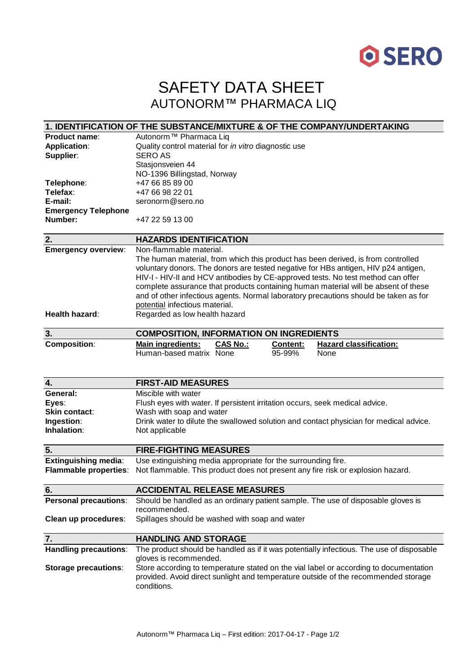

## SAFETY DATA SHEET AUTONORM™ PHARMACA LIQ

|                              | 1. IDENTIFICATION OF THE SUBSTANCE/MIXTURE & OF THE COMPANY/UNDERTAKING                  |
|------------------------------|------------------------------------------------------------------------------------------|
| <b>Product name:</b>         | Autonorm <sup>™</sup> Pharmaca Liq                                                       |
| <b>Application:</b>          | Quality control material for in vitro diagnostic use                                     |
| Supplier:                    | <b>SERO AS</b>                                                                           |
|                              | Stasjonsveien 44                                                                         |
|                              | NO-1396 Billingstad, Norway                                                              |
| Telephone:                   | +47 66 85 89 00                                                                          |
| Telefax:                     | +47 66 98 22 01                                                                          |
| E-mail:                      | seronorm@sero.no                                                                         |
| <b>Emergency Telephone</b>   |                                                                                          |
| Number:                      | +47 22 59 13 00                                                                          |
|                              |                                                                                          |
| 2.                           | <b>HAZARDS IDENTIFICATION</b>                                                            |
| <b>Emergency overview:</b>   | Non-flammable material.                                                                  |
|                              | The human material, from which this product has been derived, is from controlled         |
|                              | voluntary donors. The donors are tested negative for HBs antigen, HIV p24 antigen,       |
|                              | HIV-I - HIV-II and HCV antibodies by CE-approved tests. No test method can offer         |
|                              | complete assurance that products containing human material will be absent of these       |
|                              | and of other infectious agents. Normal laboratory precautions should be taken as for     |
|                              | potential infectious material.                                                           |
| Health hazard:               | Regarded as low health hazard                                                            |
|                              |                                                                                          |
| 3.                           | <b>COMPOSITION, INFORMATION ON INGREDIENTS</b>                                           |
| <b>Composition:</b>          | <b>Hazard classification:</b><br><b>Main ingredients:</b><br><b>CAS No.:</b><br>Content: |
|                              | Human-based matrix None<br>95-99%<br>None                                                |
|                              |                                                                                          |
|                              |                                                                                          |
|                              |                                                                                          |
| $\overline{\mathbf{4}}$ .    | <b>FIRST-AID MEASURES</b>                                                                |
| General:                     | Miscible with water                                                                      |
| Eyes:                        | Flush eyes with water. If persistent irritation occurs, seek medical advice.             |
| Skin contact:                | Wash with soap and water                                                                 |
| Ingestion:                   | Drink water to dilute the swallowed solution and contact physician for medical advice.   |
| Inhalation:                  | Not applicable                                                                           |
|                              |                                                                                          |
| 5.                           | <b>FIRE-FIGHTING MEASURES</b>                                                            |
| <b>Extinguishing media:</b>  | Use extinguishing media appropriate for the surrounding fire.                            |
| <b>Flammable properties:</b> | Not flammable. This product does not present any fire risk or explosion hazard.          |
|                              |                                                                                          |
| 6.                           | <b>ACCIDENTAL RELEASE MEASURES</b>                                                       |
| <b>Personal precautions:</b> | Should be handled as an ordinary patient sample. The use of disposable gloves is         |
|                              | recommended.                                                                             |
| Clean up procedures:         | Spillages should be washed with soap and water                                           |
|                              |                                                                                          |
| 7.                           | <b>HANDLING AND STORAGE</b>                                                              |
| <b>Handling precautions:</b> | The product should be handled as if it was potentially infectious. The use of disposable |
|                              | gloves is recommended.                                                                   |
| <b>Storage precautions:</b>  | Store according to temperature stated on the vial label or according to documentation    |
|                              | provided. Avoid direct sunlight and temperature outside of the recommended storage       |
|                              | conditions.                                                                              |